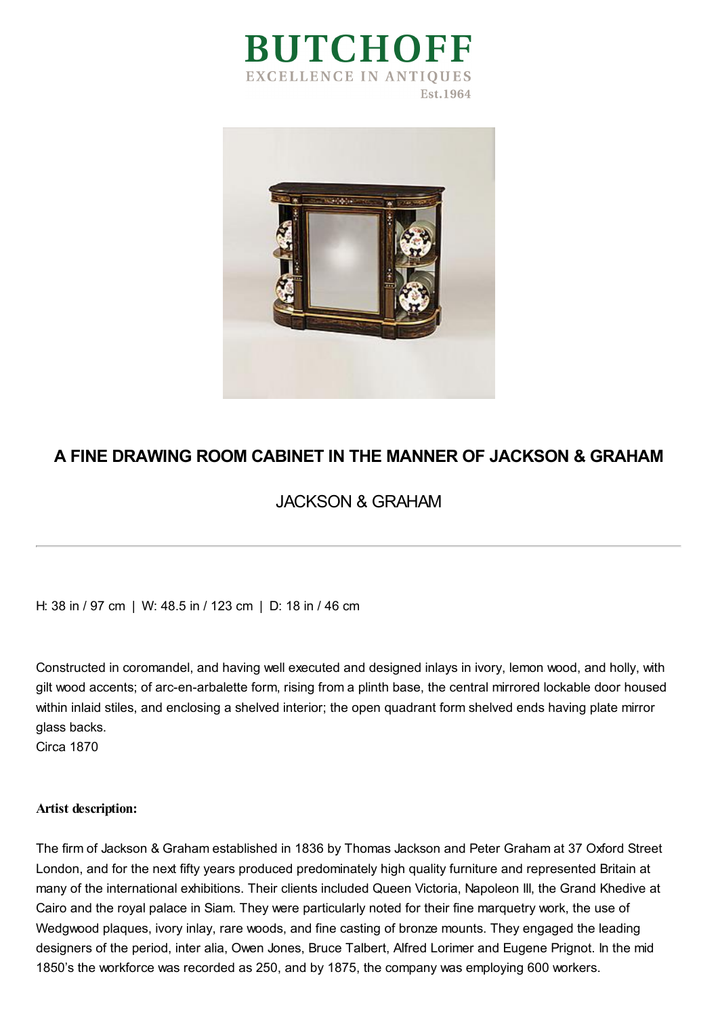



## **A FINE DRAWING ROOM CABINET IN THE MANNER OF JACKSON & GRAHAM**

## JACKSON & GRAHAM

H: 38 in / 97 cm | W: 48.5 in / 123 cm | D: 18 in / 46 cm

Constructed in coromandel, and having well executed and designed inlays in ivory, lemon wood, and holly, with gilt wood accents; of arc-en-arbalette form, rising from a plinth base, the central mirrored lockable door housed within inlaid stiles, and enclosing a shelved interior; the open quadrant form shelved ends having plate mirror glass backs.

Circa 1870

## **Artist description:**

The firm of Jackson & Graham established in 1836 by Thomas Jackson and Peter Graham at 37 Oxford Street London, and for the next fifty years produced predominately high quality furniture and represented Britain at many of the international exhibitions. Their clients included Queen Victoria, Napoleon III, the Grand Khedive at Cairo and the royal palace in Siam. They were particularly noted for their fine marquetry work, the use of Wedgwood plaques, ivory inlay, rare woods, and fine casting of bronze mounts. They engaged the leading designers of the period, inter alia, Owen Jones, Bruce Talbert, Alfred Lorimer and Eugene Prignot. In the mid 1850's the workforce was recorded as 250, and by 1875, the company was employing 600 workers.